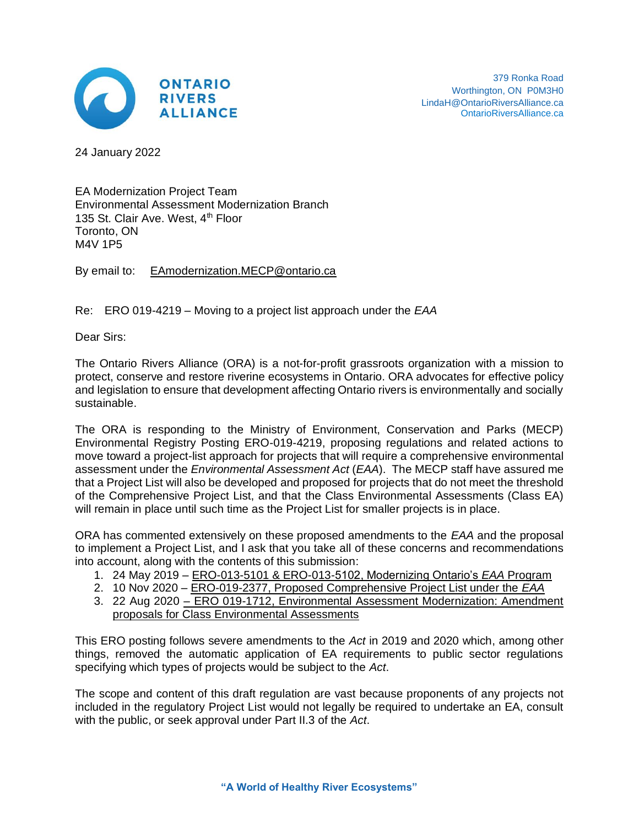

24 January 2022

EA Modernization Project Team Environmental Assessment Modernization Branch 135 St. Clair Ave. West. 4<sup>th</sup> Floor Toronto, ON M4V 1P5

By email to: [EAmodernization.MECP@ontario.ca](mailto:EAmodernization.MECP@ontario.ca)

Re: ERO 019-4219 – Moving to a project list approach under the *EAA*

Dear Sirs:

The Ontario Rivers Alliance (ORA) is a not-for-profit grassroots organization with a mission to protect, conserve and restore riverine ecosystems in Ontario. ORA advocates for effective policy and legislation to ensure that development affecting Ontario rivers is environmentally and socially sustainable.

The ORA is responding to the Ministry of Environment, Conservation and Parks (MECP) Environmental Registry Posting ERO-019-4219, proposing regulations and related actions to move toward a project-list approach for projects that will require a comprehensive environmental assessment under the *Environmental Assessment Act* (*EAA*). The MECP staff have assured me that a Project List will also be developed and proposed for projects that do not meet the threshold of the Comprehensive Project List, and that the Class Environmental Assessments (Class EA) will remain in place until such time as the Project List for smaller projects is in place.

ORA has commented extensively on these proposed amendments to the *EAA* and the proposal to implement a Project List, and I ask that you take all of these concerns and recommendations into account, along with the contents of this submission:

- 1. 24 May 2019 [ERO-013-5101 & ERO-013-5102, Modernizing Ontario's](https://www.ontarioriversalliance.ca/ero-013-5101-5102-discussion-paper-modernizing-the-ea-program-and-eaa-act/) *EAA* Program
- 2. 10 Nov 2020 [ERO-019-2377, Proposed Comprehensive Project List under the](https://www.ontarioriversalliance.ca/proposed-comprehensive-project-list-under-the-eaa-ero-019-2377/) *EAA*
- 3. 22 Aug 2020 ERO 019-1712, Environmental Assessment Modernization: Amendment [proposals for Class Environmental Assessments](https://www.ontarioriversalliance.ca/bill-197-proposed-major-amendments-to-the-class-ea-for-waterpower/)

This ERO posting follows severe amendments to the *Act* in 2019 and 2020 which, among other things, removed the automatic application of EA requirements to public sector regulations specifying which types of projects would be subject to the *Act*.

The scope and content of this draft regulation are vast because proponents of any projects not included in the regulatory Project List would not legally be required to undertake an EA, consult with the public, or seek approval under Part II.3 of the *Act*.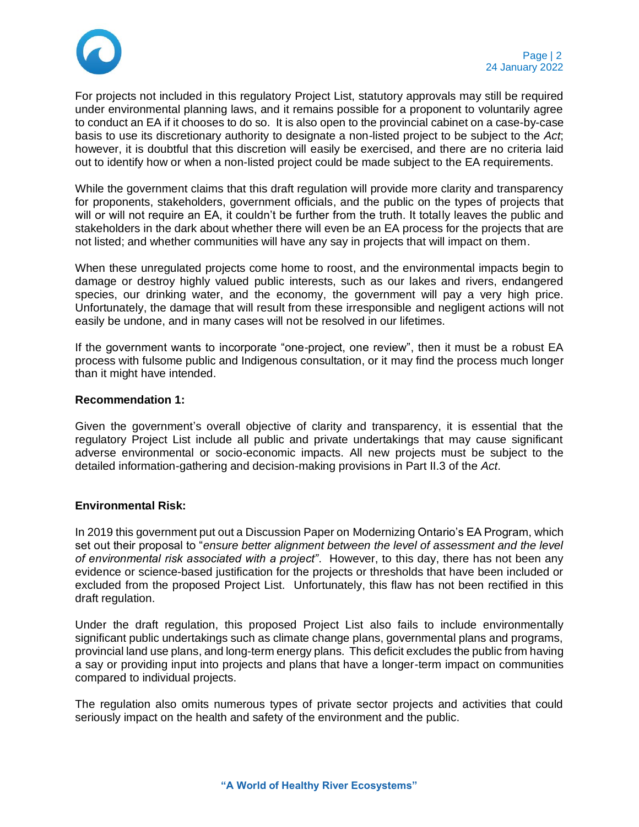

For projects not included in this regulatory Project List, statutory approvals may still be required under environmental planning laws, and it remains possible for a proponent to voluntarily agree to conduct an EA if it chooses to do so. It is also open to the provincial cabinet on a case-by-case basis to use its discretionary authority to designate a non-listed project to be subject to the *Act*; however, it is doubtful that this discretion will easily be exercised, and there are no criteria laid out to identify how or when a non-listed project could be made subject to the EA requirements.

While the government claims that this draft regulation will provide more clarity and transparency for proponents, stakeholders, government officials, and the public on the types of projects that will or will not require an EA, it couldn't be further from the truth. It totally leaves the public and stakeholders in the dark about whether there will even be an EA process for the projects that are not listed; and whether communities will have any say in projects that will impact on them.

When these unregulated projects come home to roost, and the environmental impacts begin to damage or destroy highly valued public interests, such as our lakes and rivers, endangered species, our drinking water, and the economy, the government will pay a very high price. Unfortunately, the damage that will result from these irresponsible and negligent actions will not easily be undone, and in many cases will not be resolved in our lifetimes.

If the government wants to incorporate "one-project, one review", then it must be a robust EA process with fulsome public and Indigenous consultation, or it may find the process much longer than it might have intended.

## **Recommendation 1:**

Given the government's overall objective of clarity and transparency, it is essential that the regulatory Project List include all public and private undertakings that may cause significant adverse environmental or socio-economic impacts. All new projects must be subject to the detailed information-gathering and decision-making provisions in Part II.3 of the *Act*.

# **Environmental Risk:**

In 2019 this government put out a Discussion Paper on Modernizing Ontario's EA Program, which set out their proposal to "*ensure better alignment between the level of assessment and the level of environmental risk associated with a project"*. However, to this day, there has not been any evidence or science-based justification for the projects or thresholds that have been included or excluded from the proposed Project List. Unfortunately, this flaw has not been rectified in this draft regulation.

Under the draft regulation, this proposed Project List also fails to include environmentally significant public undertakings such as climate change plans, governmental plans and programs, provincial land use plans, and long-term energy plans. This deficit excludes the public from having a say or providing input into projects and plans that have a longer-term impact on communities compared to individual projects.

The regulation also omits numerous types of private sector projects and activities that could seriously impact on the health and safety of the environment and the public.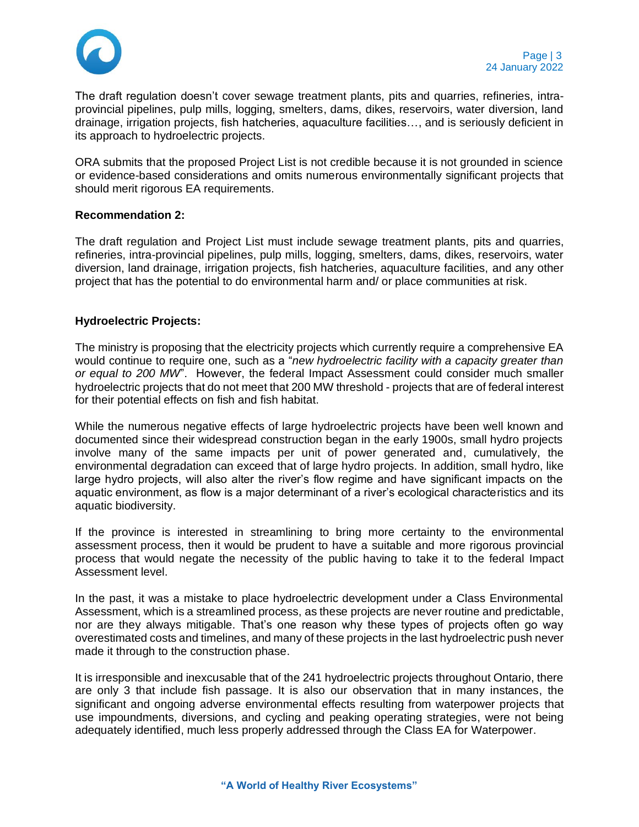

The draft regulation doesn't cover sewage treatment plants, pits and quarries, refineries, intraprovincial pipelines, pulp mills, logging, smelters, dams, dikes, reservoirs, water diversion, land drainage, irrigation projects, fish hatcheries, aquaculture facilities…, and is seriously deficient in its approach to hydroelectric projects.

ORA submits that the proposed Project List is not credible because it is not grounded in science or evidence-based considerations and omits numerous environmentally significant projects that should merit rigorous EA requirements.

## **Recommendation 2:**

The draft regulation and Project List must include sewage treatment plants, pits and quarries, refineries, intra-provincial pipelines, pulp mills, logging, smelters, dams, dikes, reservoirs, water diversion, land drainage, irrigation projects, fish hatcheries, aquaculture facilities, and any other project that has the potential to do environmental harm and/ or place communities at risk.

## **Hydroelectric Projects:**

The ministry is proposing that the electricity projects which currently require a comprehensive EA would continue to require one, such as a "*new hydroelectric facility with a capacity greater than or equal to 200 MW*". However, the federal Impact Assessment could consider much smaller hydroelectric projects that do not meet that 200 MW threshold - projects that are of federal interest for their potential effects on fish and fish habitat.

While the numerous negative effects of large hydroelectric projects have been well known and documented since their widespread construction began in the early 1900s, small hydro projects involve many of the same impacts per unit of power generated and, cumulatively, the environmental degradation can exceed that of large hydro projects. In addition, small hydro, like large hydro projects, will also alter the river's flow regime and have significant impacts on the aquatic environment, as flow is a major determinant of a river's ecological characteristics and its aquatic biodiversity.

If the province is interested in streamlining to bring more certainty to the environmental assessment process, then it would be prudent to have a suitable and more rigorous provincial process that would negate the necessity of the public having to take it to the federal Impact Assessment level.

In the past, it was a mistake to place hydroelectric development under a Class Environmental Assessment, which is a streamlined process, as these projects are never routine and predictable, nor are they always mitigable. That's one reason why these types of projects often go way overestimated costs and timelines, and many of these projects in the last hydroelectric push never made it through to the construction phase.

It is irresponsible and inexcusable that of the 241 hydroelectric projects throughout Ontario, there are only 3 that include fish passage. It is also our observation that in many instances, the significant and ongoing adverse environmental effects resulting from waterpower projects that use impoundments, diversions, and cycling and peaking operating strategies, were not being adequately identified, much less properly addressed through the Class EA for Waterpower.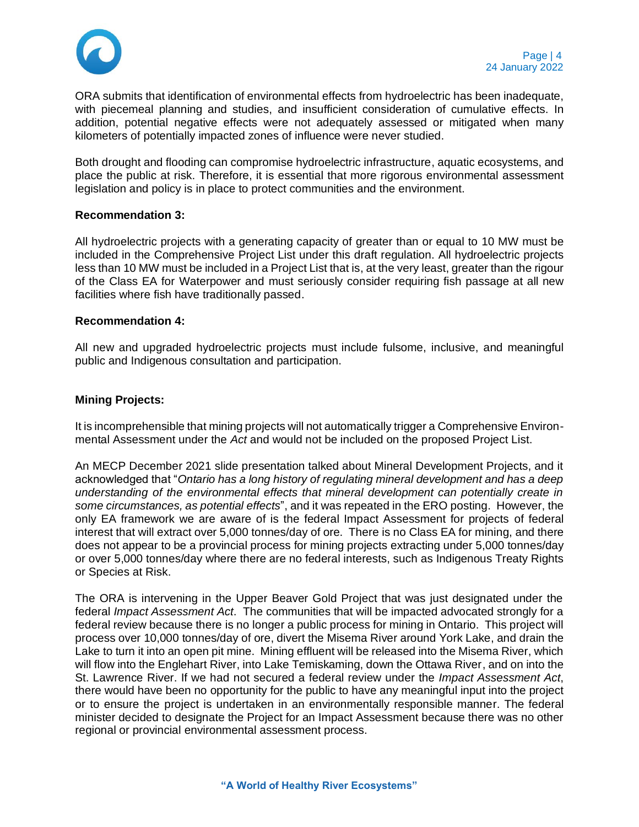

ORA submits that identification of environmental effects from hydroelectric has been inadequate, with piecemeal planning and studies, and insufficient consideration of cumulative effects. In addition, potential negative effects were not adequately assessed or mitigated when many kilometers of potentially impacted zones of influence were never studied.

Both drought and flooding can compromise hydroelectric infrastructure, aquatic ecosystems, and place the public at risk. Therefore, it is essential that more rigorous environmental assessment legislation and policy is in place to protect communities and the environment.

## **Recommendation 3:**

All hydroelectric projects with a generating capacity of greater than or equal to 10 MW must be included in the Comprehensive Project List under this draft regulation. All hydroelectric projects less than 10 MW must be included in a Project List that is, at the very least, greater than the rigour of the Class EA for Waterpower and must seriously consider requiring fish passage at all new facilities where fish have traditionally passed.

#### **Recommendation 4:**

All new and upgraded hydroelectric projects must include fulsome, inclusive, and meaningful public and Indigenous consultation and participation.

## **Mining Projects:**

It is incomprehensible that mining projects will not automatically trigger a Comprehensive Environmental Assessment under the *Act* and would not be included on the proposed Project List.

An MECP December 2021 slide presentation talked about Mineral Development Projects, and it acknowledged that "*Ontario has a long history of regulating mineral development and has a deep understanding of the environmental effects that mineral development can potentially create in some circumstances, as potential effects*", and it was repeated in the ERO posting. However, the only EA framework we are aware of is the federal Impact Assessment for projects of federal interest that will extract over 5,000 tonnes/day of ore. There is no Class EA for mining, and there does not appear to be a provincial process for mining projects extracting under 5,000 tonnes/day or over 5,000 tonnes/day where there are no federal interests, such as Indigenous Treaty Rights or Species at Risk.

The ORA is intervening in the Upper Beaver Gold Project that was just designated under the federal *Impact Assessment Act*. The communities that will be impacted advocated strongly for a federal review because there is no longer a public process for mining in Ontario. This project will process over 10,000 tonnes/day of ore, divert the Misema River around York Lake, and drain the Lake to turn it into an open pit mine. Mining effluent will be released into the Misema River, which will flow into the Englehart River, into Lake Temiskaming, down the Ottawa River, and on into the St. Lawrence River. If we had not secured a federal review under the *Impact Assessment Act*, there would have been no opportunity for the public to have any meaningful input into the project or to ensure the project is undertaken in an environmentally responsible manner. The federal minister decided to designate the Project for an Impact Assessment because there was no other regional or provincial environmental assessment process.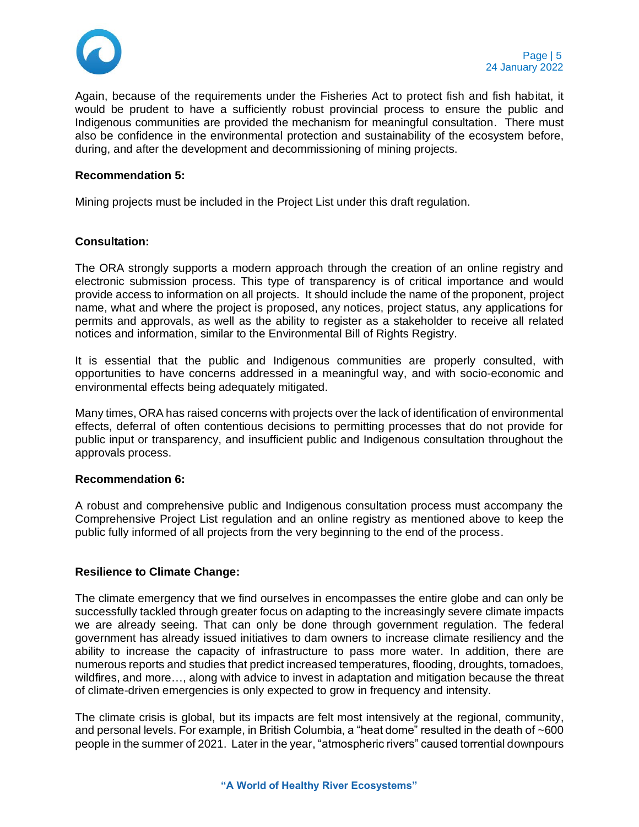

Again, because of the requirements under the Fisheries Act to protect fish and fish habitat, it would be prudent to have a sufficiently robust provincial process to ensure the public and Indigenous communities are provided the mechanism for meaningful consultation. There must also be confidence in the environmental protection and sustainability of the ecosystem before, during, and after the development and decommissioning of mining projects.

#### **Recommendation 5:**

Mining projects must be included in the Project List under this draft regulation.

## **Consultation:**

The ORA strongly supports a modern approach through the creation of an online registry and electronic submission process. This type of transparency is of critical importance and would provide access to information on all projects. It should include the name of the proponent, project name, what and where the project is proposed, any notices, project status, any applications for permits and approvals, as well as the ability to register as a stakeholder to receive all related notices and information, similar to the Environmental Bill of Rights Registry.

It is essential that the public and Indigenous communities are properly consulted, with opportunities to have concerns addressed in a meaningful way, and with socio-economic and environmental effects being adequately mitigated.

Many times, ORA has raised concerns with projects over the lack of identification of environmental effects, deferral of often contentious decisions to permitting processes that do not provide for public input or transparency, and insufficient public and Indigenous consultation throughout the approvals process.

#### **Recommendation 6:**

A robust and comprehensive public and Indigenous consultation process must accompany the Comprehensive Project List regulation and an online registry as mentioned above to keep the public fully informed of all projects from the very beginning to the end of the process.

## **Resilience to Climate Change:**

The climate emergency that we find ourselves in encompasses the entire globe and can only be successfully tackled through greater focus on adapting to the increasingly severe climate impacts we are already seeing. That can only be done through government regulation. The federal government has already issued initiatives to dam owners to increase climate resiliency and the ability to increase the capacity of infrastructure to pass more water. In addition, there are numerous reports and studies that predict increased temperatures, flooding, droughts, tornadoes, wildfires, and more…, along with advice to invest in adaptation and mitigation because the threat of climate-driven emergencies is only expected to grow in frequency and intensity.

The climate crisis is global, but its impacts are felt most intensively at the regional, community, and personal levels. For example, in British Columbia, a "heat dome" resulted in the death of ~600 people in the summer of 2021. Later in the year, "atmospheric rivers" caused torrential downpours